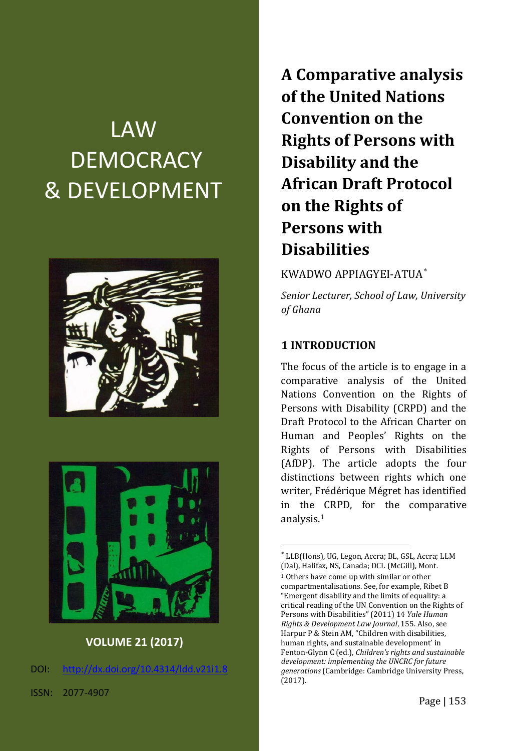# **LAW DEMOCRACY** & DEVELOPMENT



<span id="page-0-0"></span>

**VOLUME 21 (2017)**

- <span id="page-0-1"></span>DOI: [http://dx.doi.org/10.4314/ldd.v21i1.8](http://dx.doi.org/10.4314/ldd.v21i1.)
- ISSN: 2077-4907

**A Comparative analysis of the United Nations Convention on the Rights of Persons with Disability and the African Draft Protocol on the Rights of Persons with Disabilities** 

#### KWADWO APPIAGYEI-ATUA[∗](#page-0-0)

*Senior Lecturer, School of Law, University of Ghana*

## **1 INTRODUCTION**

<span id="page-0-2"></span><u>.</u>

The focus of the article is to engage in a comparative analysis of the United Nations Convention on the Rights of Persons with Disability (CRPD) and the Draft Protocol to the African Charter on Human and Peoples' Rights on the Rights of Persons with Disabilities (AfDP). The article adopts the four distinctions between rights which one writer, Frédérique Mégret has identified in the CRPD, for the comparative analysis.[1](#page-0-1)

<sup>∗</sup> LLB(Hons), UG, Legon, Accra; BL, GSL, Accra; LLM (Dal), Halifax, NS, Canada; DCL (McGill), Mont. <sup>1</sup> Others have come up with similar or other compartmentalisations. See, for example, Ribet B "Emergent disability and the limits of equality: a critical reading of the UN Convention on the Rights of Persons with Disabilities" (2011) 14 *Yale Human Rights & Development Law Journal*, 155. Also, see Harpur P & Stein AM, "Children with disabilities, human rights, and sustainable development' in Fenton-Glynn C (ed.), *Children's rights and sustainable development: implementing the UNCRC for future generations* (Cambridge: Cambridge University Press, (2017).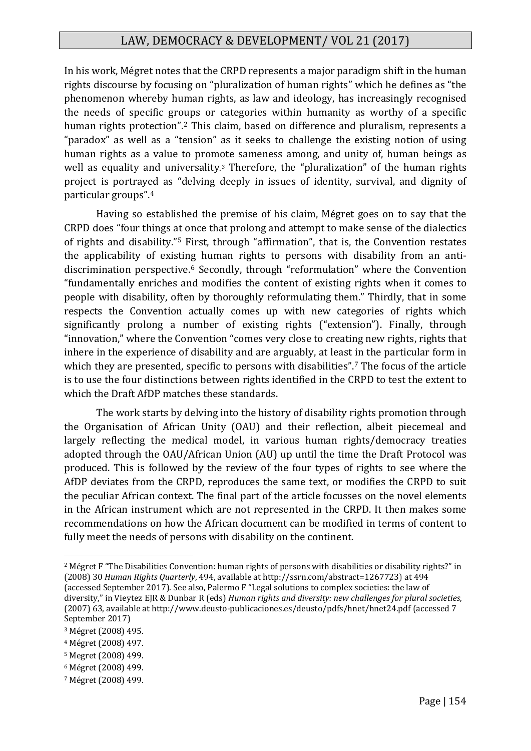In his work, Mégret notes that the CRPD represents a major paradigm shift in the human rights discourse by focusing on "pluralization of human rights" which he defines as "the phenomenon whereby human rights, as law and ideology, has increasingly recognised the needs of specific groups or categories within humanity as worthy of a specific human rights protection".<sup>[2](#page-1-0)</sup> This claim, based on difference and pluralism, represents a "paradox" as well as a "tension" as it seeks to challenge the existing notion of using human rights as a value to prom[o](#page-1-1)te sameness among, and unity of, human beings as well as equality and universality.<sup>3</sup> Therefore, the "pluralization" of the human rights project is portrayed as "delving deeply in issues of identity, survival, and dignity of particular groups".[4](#page-1-2)

Having so established the premise of his claim, Mégret goes on to say that the CRPD does "four things at once that prolong and attempt to make sense of the dialectics of rights and disability."[5](#page-1-3) First, through "affirmation", that is, the Convention restates the applicability of existi[ng](#page-1-4) human rights to persons with disability from an antidiscrimination perspective.6 Secondly, through "reformulation" where the Convention "fundamentally enriches and modifies the content of existing rights when it comes to people with disability, often by thoroughly reformulating them." Thirdly, that in some respects the Convention actually comes up with new categories of rights which significantly prolong a number of existing rights ("extension"). Finally, through "innovation," where the Convention "comes very close to creating new rights, rights that inhere in the experience of disability and are arguably, at least in the particular form in which they are presented, specific to persons with disabilities".<sup>[7](#page-1-5)</sup> The focus of the article is to use the four distinctions between rights identified in the CRPD to test the extent to which the Draft AfDP matches these standards.

The work starts by delving into the history of disability rights promotion through the Organisation of African Unity (OAU) and their reflection, albeit piecemeal and largely reflecting the medical model, in various human rights/democracy treaties adopted through the OAU/African Union (AU) up until the time the Draft Protocol was produced. This is followed by the review of the four types of rights to see where the AfDP deviates from the CRPD, reproduces the same text, or modifies the CRPD to suit the peculiar African context. The final part of the article focusses on the novel elements in the African instrument which are not represented in the CRPD. It then makes some recommendations on how the African document can be modified in terms of content to fully meet the needs of persons with disability on the continent.

<span id="page-1-0"></span><sup>2</sup> Mégret F "The Disabilities Convention: human rights of persons with disabilities or disability rights?" in (2008) 30 *Human Rights Quarterly*, 494, available at http://ssrn.com/abstract=1267723) at 494 (accessed September 2017). See also, Palermo F "Legal solutions to complex societies: the law of diversity," in Vieytez EJR & Dunbar R (eds) *Human rights and diversity: new challenges for plural societies*, (2007) 63, available at http://www.deusto-publicaciones.es/deusto/pdfs/hnet/hnet24.pdf (accessed 7 September 2017)

<span id="page-1-1"></span><sup>3</sup> Mégret (2008) 495.

<span id="page-1-2"></span><sup>4</sup> Mégret (2008) 497.

<span id="page-1-3"></span><sup>5</sup> Megret (2008) 499.

<span id="page-1-4"></span><sup>6</sup> Mégret (2008) 499.

<span id="page-1-5"></span><sup>7</sup> Mégret (2008) 499.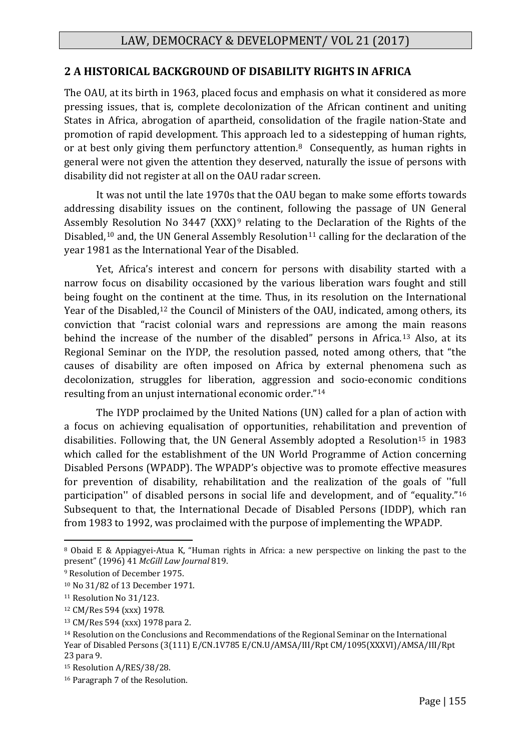### **2 A HISTORICAL BACKGROUND OF DISABILITY RIGHTS IN AFRICA**

The OAU, at its birth in 1963, placed focus and emphasis on what it considered as more pressing issues, that is, complete decolonization of the African continent and uniting States in Africa, abrogation of apartheid, consolidation of the fragile nation-State and promotion of rapid development. This approach led to a sidestepping of human rights, or at best only giving them perfunctory attention.[8](#page-2-0) Consequently, as human rights in general were not given the attention they deserved, naturally the issue of persons with disability did not register at all on the OAU radar screen.

It was not until the late 1970s that the OAU began to make some efforts towards addressing disability issues on the [c](#page-2-1)ontinent, following the passage of UN General Assembl[y R](#page-2-2)esolution No  $3447$  (XXX)<sup>9</sup> relating to the Declaration of the Rights of the Disabled,<sup>10</sup> and, the UN General Assembly Resolution<sup>[11](#page-2-3)</sup> calling for the declaration of the year 1981 as the International Year of the Disabled.

Yet, Africa's interest and concern for persons with disability started with a narrow focus on disability occasioned by the various liberation wars fought and still being fought on the continent at the time. Thus, in its resolution on the International Year of the Disabled,<sup>[12](#page-2-4)</sup> the Council of Ministers of the OAU, indicated, among others, its conviction that "racist colonial wars and repressions are among the main reasons behind the increase of the number of the disabled" persons in Africa.[13](#page-2-5) Also, at its Regional Seminar on the IYDP, the resolution passed, noted among others, that "the causes of disability are often imposed on Africa by external phenomena such as decolonization, struggles for liberation, aggression and socio-economic conditions resulting from an unjust international economic order."[14](#page-2-6)

The IYDP proclaimed by the United Nations (UN) called for a plan of action with a focus on achieving equalisation of opportunities, rehabilitation and prevention of disabilities. Following that, the UN General Assembly adopted a Resolution<sup>[15](#page-2-7)</sup> in 1983 which called for the establishment of the UN World Programme of Action concerning Disabled Persons (WPADP). The WPADP's objective was to promote effective measures for prevention of disability, rehabilitation and the realization of the goals of ''f[ull](#page-2-8) participation'' of disabled persons in social life and development, and of "equality."16 Subsequent to that, the International Decade of Disabled Persons (IDDP), which ran from 1983 to 1992, was proclaimed with the purpose of implementing the WPADP.

<span id="page-2-0"></span><sup>8</sup> Obaid E & Appiagyei-Atua K, "Human rights in Africa: a new perspective on linking the past to the present" (1996) 41 *McGill Law Journal* 819.

<span id="page-2-1"></span><sup>9</sup> Resolution of December 1975.

<span id="page-2-2"></span><sup>10</sup> No 31/82 of 13 December 1971.

<span id="page-2-3"></span><sup>&</sup>lt;sup>11</sup> Resolution No 31/123.

<span id="page-2-4"></span><sup>12</sup> CM/Res 594 (xxx) 1978.

<span id="page-2-5"></span><sup>13</sup> CM/Res 594 (xxx) 1978 para 2.

<span id="page-2-6"></span><sup>14</sup> Resolution on the Conclusions and Recommendations of the Regional Seminar on the International Year of Disabled Persons (3(111) E/CN.1V785 E/CN.U/AMSA/III/Rpt CM/1095(XXXVI)/AMSA/III/Rpt 23 para 9.

<span id="page-2-7"></span><sup>&</sup>lt;sup>15</sup> Resolution A/RES/38/28.

<span id="page-2-8"></span><sup>16</sup> Paragraph 7 of the Resolution.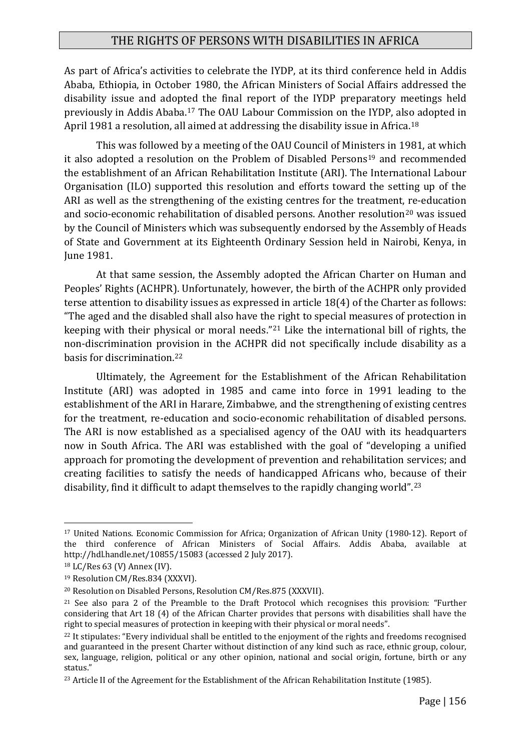As part of Africa's activities to celebrate the IYDP, at its third conference held in Addis Ababa, Ethiopia, in October 1980, the African Ministers of Social Affairs addressed the disability issue and adopted the final report of the IYDP preparatory meetings held previously in Addis Ababa.[17](#page-3-0) The OAU Labour Commission on the IYDP, also adopted in April 1981 a resolution, all aimed at addressing the disability issue in Africa.<sup>[18](#page-3-1)</sup>

This was followed by a meeting of the OAU Council of Ministers in 1981, at which it also adopted a resolution on the Problem of Disabled Persons<sup>[19](#page-3-2)</sup> and recommended the establishment of an African Rehabilitation Institute (ARI). The International Labour Organisation (ILO) supported this resolution and efforts toward the setting up of the ARI as well as the strengthening of the existing centres for the treatment, re-education and socio-economic rehabilitation of disabled persons. Another resolution<sup>[20](#page-3-3)</sup> was issued by the Council of Ministers which was subsequently endorsed by the Assembly of Heads of State and Government at its Eighteenth Ordinary Session held in Nairobi, Kenya, in June 1981.

At that same session, the Assembly adopted the African Charter on Human and Peoples' Rights (ACHPR). Unfortunately, however, the birth of the ACHPR only provided terse attention to disability issues as expressed in article 18(4) of the Charter as follows: "The aged and the disabled shall also have the right to special measures of protection in keeping with their physical or moral needs."[21](#page-3-4) Like the international bill of rights, the non-discrimination pro[vis](#page-3-5)ion in the ACHPR did not specifically include disability as a basis for discrimination. 22

Ultimately, the Agreement for the Establishment of the African Rehabilitation Institute (ARI) was adopted in 1985 and came into force in 1991 leading to the establishment of the ARI in Harare, Zimbabwe, and the strengthening of existing centres for the treatment, re-education and socio-economic rehabilitation of disabled persons. The ARI is now established as a specialised agency of the OAU with its headquarters now in South Africa. The ARI was established with the goal of "developing a unified approach for promoting the development of prevention and rehabilitation services; and creating facilities to satisfy the needs of handicapped Africans who, because of their disability, find it difficult to adapt themselves to the rapidly changing world".[23](#page-3-6)

<span id="page-3-0"></span><sup>17</sup> United Nations. Economic Commission for Africa; Organization of African Unity (1980-12). Report of the third conference of African Ministers of Social Affairs. Addis Ababa, available at http://hdl.handle.net/10855/15083 (accessed 2 July 2017).

<span id="page-3-1"></span><sup>18</sup> LC/Res 63 (V) Annex (IV).

<span id="page-3-2"></span><sup>19</sup> Resolution CM/Res.834 (XXXVI).

<span id="page-3-3"></span><sup>20</sup> Resolution on Disabled Persons, Resolution CM/Res.875 (XXXVII).

<span id="page-3-4"></span><sup>&</sup>lt;sup>21</sup> See also para 2 of the Preamble to the Draft Protocol which recognises this provision: "Further considering that Art 18 (4) of the African Charter provides that persons with disabilities shall have the right to special measures of protection in keeping with their physical or moral needs".

<span id="page-3-5"></span><sup>&</sup>lt;sup>22</sup> It stipulates: "Every individual shall be entitled to the enjoyment of the rights and freedoms recognised and guaranteed in the present Charter without distinction of any kind such as race, ethnic group, colour, sex, language, religion, political or any other opinion, national and social origin, fortune, birth or any status."

<span id="page-3-6"></span><sup>&</sup>lt;sup>23</sup> Article II of the Agreement for the Establishment of the African Rehabilitation Institute (1985).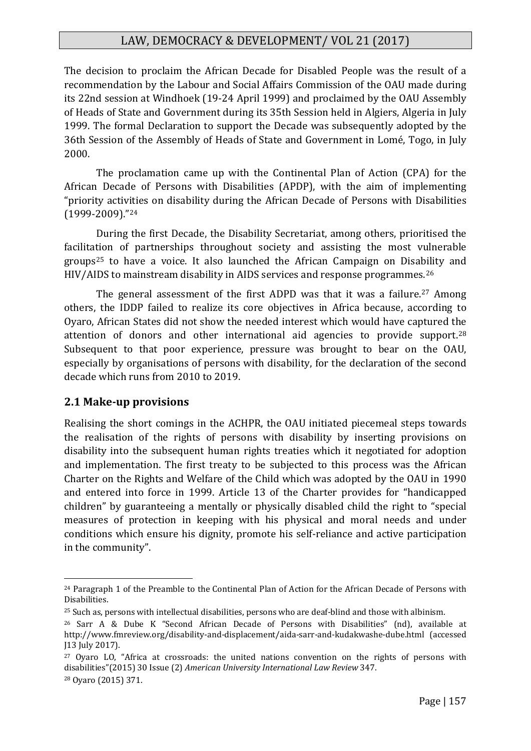The decision to proclaim the African Decade for Disabled People was the result of a recommendation by the Labour and Social Affairs Commission of the OAU made during its 22nd session at Windhoek (19-24 April 1999) and proclaimed by the OAU Assembly of Heads of State and Government during its 35th Session held in Algiers, Algeria in July 1999. The formal Declaration to support the Decade was subsequently adopted by the 36th Session of the Assembly of Heads of State and Government in Lomé, Togo, in July 2000.

The proclamation came up with the Continental Plan of Action (CPA) for the African Decade of Persons with Disabilities (APDP), with the aim of implementing "priority activities on disability during the African Decade of Persons with Disabilities (1999-2009)."[24](#page-4-0)

During the first Decade, the Disability Secretariat, among others, prioritised the facilitation of partnerships throughout society and assisting the most vulnerable groups[25](#page-4-1) to have a voice. It also launched the African Campaign on Disability and HIV/AIDS to mainstream disability in AIDS services and response programmes.[26](#page-4-2)

The general assessment of the first ADPD was that it was a failure.<sup>[27](#page-4-3)</sup> Among others, the IDDP failed to realize its core objectives in Africa because, according to Oyaro, African States did not show the needed interest which would have captured the attention of donors and other international aid agencies to provide support.[28](#page-4-4) Subsequent to that poor experience, pressure was brought to bear on the OAU, especially by organisations of persons with disability, for the declaration of the second decade which runs from 2010 to 2019.

#### **2.1 Make-up provisions**

Realising the short comings in the ACHPR, the OAU initiated piecemeal steps towards the realisation of the rights of persons with disability by inserting provisions on disability into the subsequent human rights treaties which it negotiated for adoption and implementation. The first treaty to be subjected to this process was the African Charter on the Rights and Welfare of the Child which was adopted by the OAU in 1990 and entered into force in 1999. Article 13 of the Charter provides for "handicapped children" by guaranteeing a mentally or physically disabled child the right to "special measures of protection in keeping with his physical and moral needs and under conditions which ensure his dignity, promote his self-reliance and active participation in the community".

<span id="page-4-0"></span><sup>24</sup> Paragraph 1 of the Preamble to the Continental Plan of Action for the African Decade of Persons with Disabilities. <u>.</u>

<span id="page-4-1"></span><sup>25</sup> Such as, persons with intellectual disabilities, persons who are deaf-blind and those with albinism.

<span id="page-4-2"></span><sup>26</sup> Sarr A & Dube K "Second African Decade of Persons with Disabilities" (nd), available at http://www.fmreview.org/disability-and-displacement/aida-sarr-and-kudakwashe-dube.html (accessed J13 July 2017).

<span id="page-4-4"></span><span id="page-4-3"></span><sup>&</sup>lt;sup>27</sup> Oyaro LO, "Africa at crossroads: the united nations convention on the rights of persons with disabilities"(2015) 30 Issue (2) *American University International Law Review* 347. <sup>28</sup> Oyaro (2015) 371.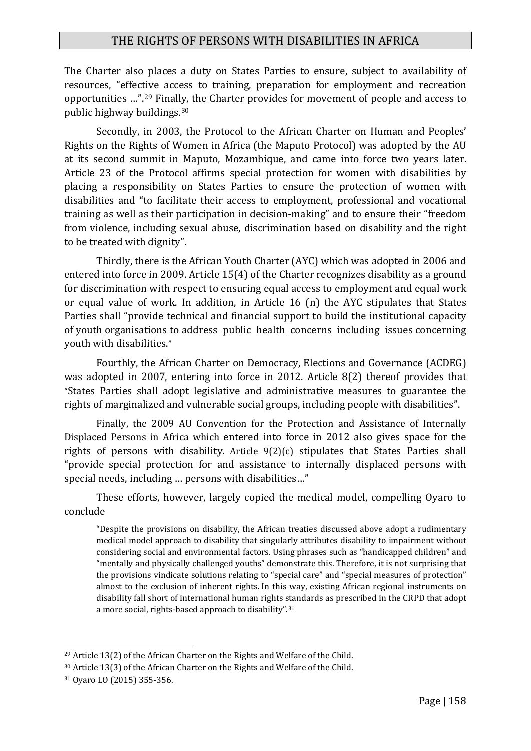The Charter also places a duty on States Parties to ensure, subject to availability of resources, "effective access to training, preparation for employment and recreation opportunities …".[29](#page-5-0) Finally, the Charter provides for movement of people and access to public highway buildings.[30](#page-5-1)

Secondly, in 2003, the Protocol to the African Charter on Human and Peoples' Rights on the Rights of Women in Africa (the Maputo Protocol) was adopted by the AU at its second summit in Maputo, Mozambique, and came into force two years later. Article 23 of the Protocol affirms special protection for women with disabilities by placing a responsibility on States Parties to ensure the protection of women with disabilities and "to facilitate their access to employment, professional and vocational training as well as their participation in decision-making" and to ensure their "freedom from violence, including sexual abuse, discrimination based on disability and the right to be treated with dignity".

Thirdly, there is the African Youth Charter (AYC) which was adopted in 2006 and entered into force in 2009. Article 15(4) of the Charter recognizes disability as a ground for discrimination with respect to ensuring equal access to employment and equal work or equal value of work. In addition, in Article 16 (n) the AYC stipulates that States Parties shall "provide technical and financial support to build the institutional capacity of youth organisations to address public health concerns including issues concerning youth with disabilities."

Fourthly, the African Charter on Democracy, Elections and Governance (ACDEG) was adopted in 2007, entering into force in 2012. Article 8(2) thereof provides that "States Parties shall adopt legislative and administrative measures to guarantee the rights of marginalized and vulnerable social groups, including people with disabilities".

Finally, the 2009 AU Convention for the Protection and Assistance of Internally Displaced Persons in Africa which entered into force in 2012 also gives space for the rights of persons with disability. Article 9(2)(c) stipulates that States Parties shall "provide special protection for and assistance to internally displaced persons with special needs, including … persons with disabilities…"

These efforts, however, largely copied the medical model, compelling Oyaro to conclude

"Despite the provisions on disability, the African treaties discussed above adopt a rudimentary medical model approach to disability that singularly attributes disability to impairment without considering social and environmental factors. Using phrases such as "handicapped children" and "mentally and physically challenged youths" demonstrate this. Therefore, it is not surprising that the provisions vindicate solutions relating to "special care" and "special measures of protection" almost to the exclusion of inherent rights. In this way, existing African regional instruments on disability fall short of international human rights standards as prescribed in the CRPD that adopt a more social, rights-based approach to disability".[31](#page-5-2)

<span id="page-5-0"></span><sup>29</sup> Article 13(2) of the African Charter on the Rights and Welfare of the Child.

<span id="page-5-1"></span><sup>30</sup> Article 13(3) of the African Charter on the Rights and Welfare of the Child.

<span id="page-5-2"></span><sup>31</sup> Oyaro LO (2015) 355-356.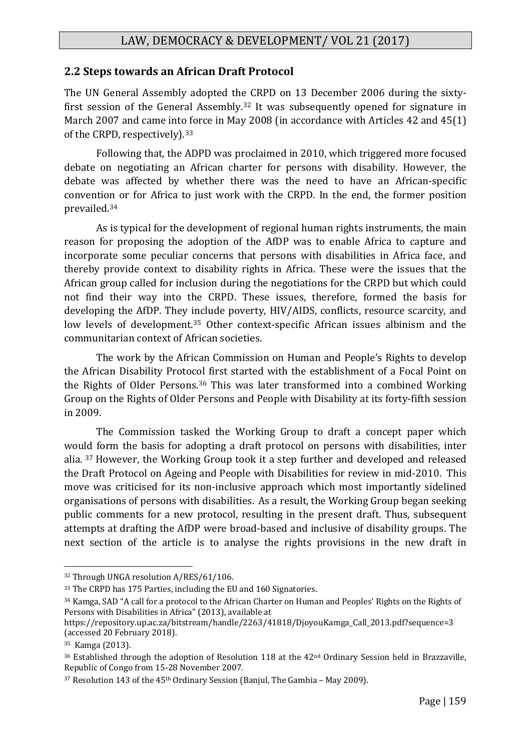#### **2.2 Steps towards an African Draft Protocol**

The UN General Assembly adopted the CRPD on 13 December 2006 during the sixtyfirst session of the General Assembly.[32](#page-6-0) It was subsequently opened for signature in March 2007 and came into force in May 2008 (in accordance with Articles 42 and 45(1) of the CRPD, respectively).[33](#page-6-1)

Following that, the ADPD was proclaimed in 2010, which triggered more focused debate on negotiating an African charter for persons with disability. However, the debate was affected by whether there was the need to have an African-specific convention or for Africa to just work with the CRPD. In the end, the former position prevailed.[34](#page-6-2)

As is typical for the development of regional human rights instruments, the main reason for proposing the adoption of the AfDP was to enable Africa to capture and incorporate some peculiar concerns that persons with disabilities in Africa face, and thereby provide context to disability rights in Africa. These were the issues that the African group called for inclusion during the negotiations for the CRPD but which could not find their way into the CRPD. These issues, therefore, formed the basis for developing the AfDP. They include poverty, HIV/AIDS, conflicts, resource scarcity, and low levels of development.<sup>[35](#page-6-3)</sup> Other context-specific African issues albinism and the communitarian context of African societies.

The work by the African Commission on Human and People's Rights to develop the African Disability Protocol first started with the establishment of a Focal Point on the Rights of Older Persons.[36](#page-6-4) This was later transformed into a combined Working Group on the Rights of Older Persons and People with Disability at its forty-fifth session in 2009.

The Commission tasked the Working Group to draft a concept paper which wou[ld](#page-6-5) form the basis for adopting a draft protocol on persons with disabilities, inter alia. <sup>37</sup> However, the Working Group took it a step further and developed and released the Draft Protocol on Ageing and People with Disabilities for review in mid-2010. This move was criticised for its non-inclusive approach which most importantly sidelined organisations of persons with disabilities. As a result, the Working Group began seeking public comments for a new protocol, resulting in the present draft. Thus, subsequent attempts at drafting the AfDP were broad-based and inclusive of disability groups. The next section of the article is to analyse the rights provisions in the new draft in

<span id="page-6-0"></span><sup>32</sup> Through UNGA resolution A/RES/61/106.

<span id="page-6-1"></span><sup>33</sup> The CRPD has 175 Parties, including the EU and 160 Signatories.

<span id="page-6-2"></span><sup>34</sup> Kamga, SAD "A call for a protocol to the African Charter on Human and Peoples' Rights on the Rights of Persons with Disabilities in Africa" (2013), available at

https://repository.up.ac.za/bitstream/handle/2263/41818/DjoyouKamga\_Call\_2013.pdf?sequence=3 (accessed 20 February 2018).

<span id="page-6-3"></span><sup>35</sup> Kamga (2013).

<span id="page-6-4"></span> $36$  Established through the adoption of Resolution 118 at the  $42<sup>nd</sup>$  Ordinary Session held in Brazzaville, Republic of Congo from 15-28 November 2007.

<span id="page-6-5"></span><sup>&</sup>lt;sup>37</sup> Resolution 143 of the 45<sup>th</sup> Ordinary Session (Banjul, The Gambia – May 2009).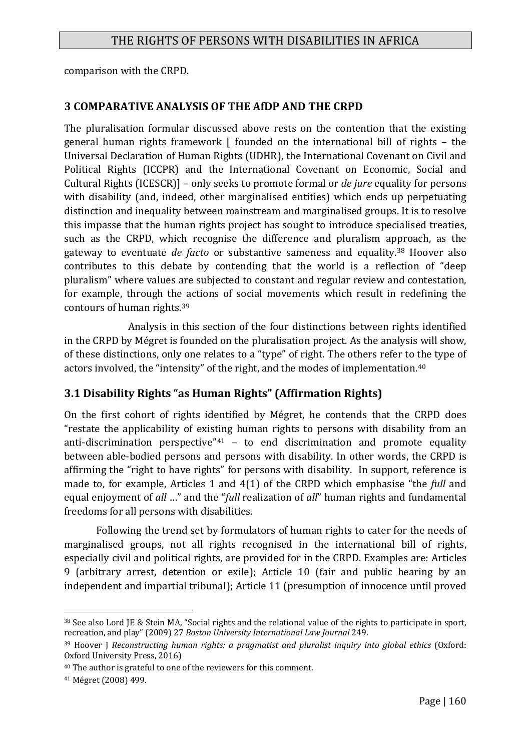comparison with the CRPD.

#### **3 COMPARATIVE ANALYSIS OF THE AfDP AND THE CRPD**

The pluralisation formular discussed above rests on the contention that the existing general human rights framework [ founded on the international bill of rights – the Universal Declaration of Human Rights (UDHR), the International Covenant on Civil and Political Rights (ICCPR) and the International Covenant on Economic, Social and Cultural Rights (ICESCR)] – only seeks to promote formal or *de jure* equality for persons with disability (and, indeed, other marginalised entities) which ends up perpetuating distinction and inequality between mainstream and marginalised groups. It is to resolve this impasse that the human rights project has sought to introduce specialised treaties, such as the CRPD, which recognise the difference and pluralism approach, as the gateway to eventuate *de facto* or substantive sameness and equality.[38](#page-7-0) Hoover also contributes to this debate by contending that the world is a reflection of "deep pluralism" where values are subjected to constant and regular review and contestation, for example, through the actions of social movements which result in redefining the contours of human rights.[39](#page-7-1)

Analysis in this section of the four distinctions between rights identified in the CRPD by Mégret is founded on the pluralisation project. As the analysis will show, of these distinctions, only one relates to a "type" of right. The others refer to the type of actors involved, the "intensity" of the right, and the modes of implementation.[40](#page-7-2)

#### **3.1 Disability Rights "as Human Rights" (Affirmation Rights)**

On the first cohort of rights identified by Mégret, he contends that the CRPD does "restate the applicability of existing human rights to persons with disability from an anti-discrimination perspective<sup>"[41](#page-7-3)</sup> – to end discrimination and promote equality between able-bodied persons and persons with disability. In other words, the CRPD is affirming the "right to have rights" for persons with disability. In support, reference is made to, for example, Articles 1 and 4(1) of the CRPD which emphasise "the *full* and equal enjoyment of *all* …" and the "*full* realization of *all*" human rights and fundamental freedoms for all persons with disabilities.

Following the trend set by formulators of human rights to cater for the needs of marginalised groups, not all rights recognised in the international bill of rights, especially civil and political rights, are provided for in the CRPD. Examples are: Articles 9 (arbitrary arrest, detention or exile); Article 10 (fair and public hearing by an independent and impartial tribunal); Article 11 (presumption of innocence until proved

<span id="page-7-0"></span><sup>38</sup> See also Lord JE & Stein MA, "Social rights and the relational value of the rights to participate in sport, recreation, and play" (2009) 27 *Boston University International Law Journal* 249. -

<span id="page-7-1"></span><sup>39</sup> Hoover J *Reconstructing human rights: a pragmatist and pluralist inquiry into global ethics* (Oxford: Oxford University Press, 2016)

<span id="page-7-2"></span><sup>40</sup> The author is grateful to one of the reviewers for this comment.

<span id="page-7-3"></span><sup>41</sup> Mégret (2008) 499.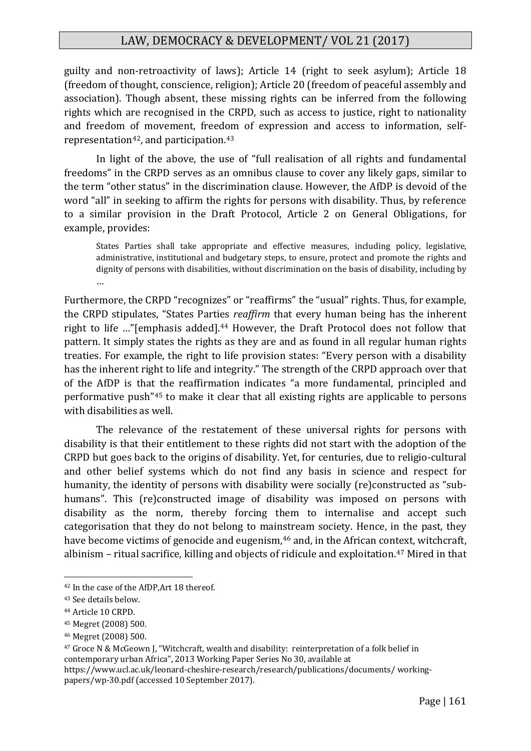guilty and non-retroactivity of laws); Article 14 (right to seek asylum); Article 18 (freedom of thought, conscience, religion); Article 20 (freedom of peaceful assembly and association). Though absent, these missing rights can be inferred from the following rights which are recognised in the CRPD, such as access to justice, right to nationality and freedom of movement, freedom of expression and access to information, self-representation<sup>42</sup>, and participation.<sup>[43](#page-8-1)</sup>

In light of the above, the use of "full realisation of all rights and fundamental freedoms" in the CRPD serves as an omnibus clause to cover any likely gaps, similar to the term "other status" in the discrimination clause. However, the AfDP is devoid of the word "all" in seeking to affirm the rights for persons with disability. Thus, by reference to a similar provision in the Draft Protocol, Article 2 on General Obligations, for example, provides:

States Parties shall take appropriate and effective measures, including policy, legislative, administrative, institutional and budgetary steps, to ensure, protect and promote the rights and dignity of persons with disabilities, without discrimination on the basis of disability, including by …

Furthermore, the CRPD "recognizes" or "reaffirms" the "usual" rights. Thus, for example, the CRPD stipulates, "States Parties *reaffirm* that every human being has the inherent right to life ..."[emphasis added].<sup>[44](#page-8-2)</sup> However, the Draft Protocol does not follow that pattern. It simply states the rights as they are and as found in all regular human rights treaties. For example, the right to life provision states: "Every person with a disability has the inherent right to life and integrity." The strength of the CRPD approach over that of the AfDP is that the reaffirmation indicates "a more fundamental, principled and performative push"[45](#page-8-3) to make it clear that all existing rights are applicable to persons with disabilities as well.

The relevance of the restatement of these universal rights for persons with disability is that their entitlement to these rights did not start with the adoption of the CRPD but goes back to the origins of disability. Yet, for centuries, due to religio-cultural and other belief systems which do not find any basis in science and respect for humanity, the identity of persons with disability were socially (re)constructed as "subhumans". This (re)constructed image of disability was imposed on persons with disability as the norm, thereby forcing them to internalise and accept such categorisation that they do not belong to mainstream society. Hence, in the past, they have become victims of genocide and eugenism,<sup>[46](#page-8-4)</sup> and, in the African context, witchcraft, albinism – ritual sacrifice, killing and objects of ridicule and exploitation.<sup>[47](#page-8-5)</sup> Mired in that

<span id="page-8-0"></span><sup>42</sup> In the case of the AfDP,Art 18 thereof.

<span id="page-8-1"></span><sup>43</sup> See details below.

<span id="page-8-2"></span><sup>44</sup> Article 10 CRPD.

<span id="page-8-3"></span><sup>45</sup> Megret (2008) 500.

<span id="page-8-4"></span><sup>46</sup> Megret (2008) 500.

<span id="page-8-5"></span><sup>47</sup> Groce N & McGeown J, "Witchcraft, wealth and disability: reinterpretation of a folk belief in contemporary urban Africa", 2013 Working Paper Series No 30, available at

https://www.ucl.ac.uk/leonard-cheshire-research/research/publications/documents/ workingpapers/wp-30.pdf (accessed 10 September 2017).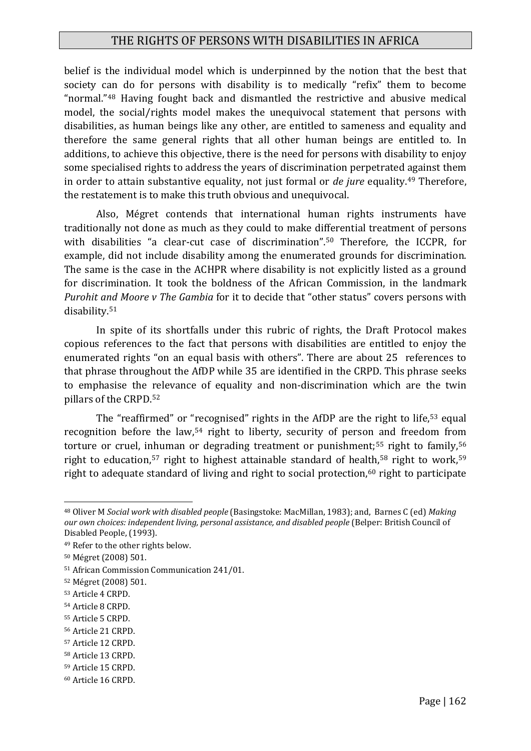belief is the individual model which is underpinned by the notion that the best that society can do for persons with disability is to medically "refix" them to become "normal."[48](#page-9-0) Having fought back and dismantled the restrictive and abusive medical model, the social/rights model makes the unequivocal statement that persons with disabilities, as human beings like any other, are entitled to sameness and equality and therefore the same general rights that all other human beings are entitled to. In additions, to achieve this objective, there is the need for persons with disability to enjoy some specialised rights to address the years of discrimination perpetrated against them in order to attain substantive equality, not just formal or *de jure* equality.[49](#page-9-1) Therefore, the restatement is to make this truth obvious and unequivocal.

Also, Mégret contends that international human rights instruments have traditionally not done as much as they could to make differential treatment of persons with disabilities "a clear-cut case of discrimination".<sup>[50](#page-9-2)</sup> Therefore, the ICCPR, for example, did not include disability among the enumerated grounds for discrimination. The same is the case in the ACHPR where disability is not explicitly listed as a ground for discrimination. It took the boldness of the African Commission, in the landmark *Purohit and Moore v The Gambia* for it to decide that "other status" covers persons with disability.[51](#page-9-3)

In spite of its shortfalls under this rubric of rights, the Draft Protocol makes copious references to the fact that persons with disabilities are entitled to enjoy the enumerated rights "on an equal basis with others". There are about 25 references to that phrase throughout the AfDP while 35 are identified in the CRPD. This phrase seeks to emphasise the relevance of equality and non-discrimination which are the twin pillars of the CRPD.[52](#page-9-4)

The "reaffirmed" or "recognised" rights in the AfDP are the right to life,<sup>[53](#page-9-5)</sup> equal recognition before the law,[54](#page-9-6) right to liberty, security of person and freedom from torture or cruel, i[nhu](#page-9-9)man or degrading treatment or punishment;<sup>[55](#page-9-7)</sup> right to family,<sup>[56](#page-9-8)</sup> right to education,<sup>57</sup> right to highest attainable standard of heal[th](#page-9-12),<sup>[58](#page-9-10)</sup> right to work,<sup>59</sup> right to adequate standard of living and right to social protection,<sup>60</sup> right to participate

<span id="page-9-8"></span><sup>56</sup> Article 21 CRPD.

<span id="page-9-11"></span><sup>59</sup> Article 15 CRPD.

<span id="page-9-0"></span><sup>48</sup> Oliver M *Social work with disabled people* (Basingstoke: MacMillan, 1983); and, Barnes C (ed) *Making our own choices: independent living, personal assistance, and disabled people* (Belper: British Council of Disabled People, (1993). -

<span id="page-9-1"></span><sup>49</sup> Refer to the other rights below.

<span id="page-9-2"></span><sup>50</sup> Mégret (2008) 501.

<span id="page-9-3"></span><sup>51</sup> African Commission Communication 241/01.

<span id="page-9-4"></span><sup>52</sup> Mégret (2008) 501.

<span id="page-9-5"></span><sup>53</sup> Article 4 CRPD.

<span id="page-9-6"></span><sup>54</sup> Article 8 CRPD.

<span id="page-9-7"></span><sup>55</sup> Article 5 CRPD.

<span id="page-9-9"></span><sup>57</sup> Article 12 CRPD.

<span id="page-9-10"></span><sup>58</sup> Article 13 CRPD.

<span id="page-9-12"></span><sup>60</sup> Article 16 CRPD.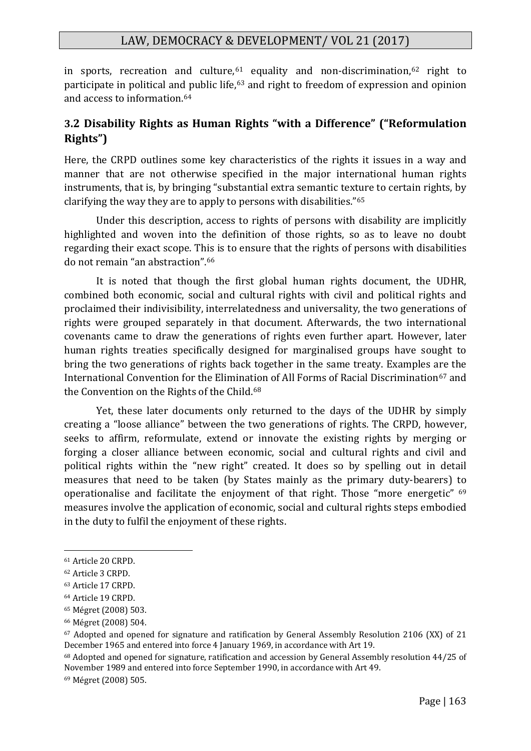in sports, recreation and culture, $61$  equality and non-discrimination, $62$  right to participate in political and public life,<sup>[63](#page-10-2)</sup> and right to freedom of expression and opinion and access to information.[64](#page-10-3)

## **3.2 Disability Rights as Human Rights "with a Difference" ("Reformulation Rights")**

Here, the CRPD outlines some key characteristics of the rights it issues in a way and manner that are not otherwise specified in the major international human rights instruments, that is, by bringing "substantial extra semantic texture to certain rights, by clarifying the way they are to apply to persons with disabilities."[65](#page-10-4)

Under this description, access to rights of persons with disability are implicitly highlighted and woven into the definition of those rights, so as to leave no doubt regarding their exact scope. This is to ensure that the rights of persons with disabilities do not remain "an abstraction".[66](#page-10-5)

It is noted that though the first global human rights document, the UDHR, combined both economic, social and cultural rights with civil and political rights and proclaimed their indivisibility, interrelatedness and universality, the two generations of rights were grouped separately in that document. Afterwards, the two international covenants came to draw the generations of rights even further apart. However, later human rights treaties specifically designed for marginalised groups have sought to bring the two generations of rights back together in the same treaty. Examples are the International Convention for the Elimination of All Forms of Racial Discrimination<sup>[67](#page-10-6)</sup> and the Convention on the Rights of the Child.<sup>[68](#page-10-7)</sup>

Yet, these later documents only returned to the days of the UDHR by simply creating a "loose alliance" between the two generations of rights. The CRPD, however, seeks to affirm, reformulate, extend or innovate the existing rights by merging or forging a closer alliance between economic, social and cultural rights and civil and political rights within the "new right" created. It does so by spelling out in detail measures that need to be taken (by States mainly as the primary duty-bearers) [to](#page-10-8) operationalise and facilitate the enjoyment of that right. Those "more energetic" <sup>69</sup> measures involve the application of economic, social and cultural rights steps embodied in the duty to fulfil the enjoyment of these rights.

<u>.</u>

<span id="page-10-8"></span><sup>69</sup> Mégret (2008) 505.

<span id="page-10-0"></span><sup>61</sup> Article 20 CRPD.

<span id="page-10-1"></span><sup>62</sup> Article 3 CRPD.

<span id="page-10-2"></span><sup>63</sup> Article 17 CRPD.

<span id="page-10-3"></span><sup>64</sup> Article 19 CRPD.

<span id="page-10-4"></span><sup>65</sup> Mégret (2008) 503.

<span id="page-10-5"></span><sup>66</sup> Mégret (2008) 504.

<span id="page-10-6"></span><sup>67</sup> Adopted and opened for signature and ratification by General Assembly Resolution 2106 (XX) of 21 December 1965 and entered into force 4 January 1969, in accordance with Art 19.

<span id="page-10-7"></span><sup>68</sup> Adopted and opened for signature, ratification and accession by General Assembly resolution 44/25 of November 1989 and entered into force September 1990, in accordance with Art 49.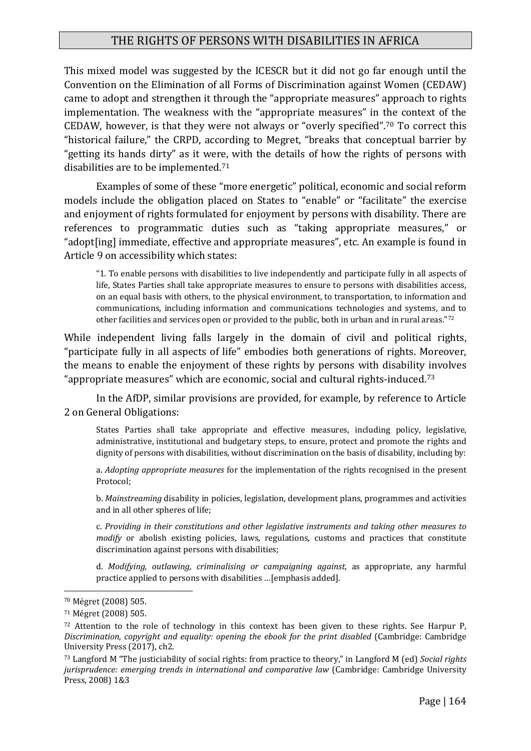This mixed model was suggested by the ICESCR but it did not go far enough until the Convention on the Elimination of all Forms of Discrimination against Women (CEDAW) came to adopt and strengthen it through the "appropriate measures" approach to rights implementation. The weakness with the "appropriate measures" in the context of the CEDAW, however, is that they were not always or "overly specified".[70](#page-11-0) To correct this "historical failure," the CRPD, according to Megret, "breaks that conceptual barrier by "getting its hands dirty" as it were, with the details of how the rights of persons with disabilities are to be implemented.[71](#page-11-1)

Examples of some of these "more energetic" political, economic and social reform models include the obligation placed on States to "enable" or "facilitate" the exercise and enjoyment of rights formulated for enjoyment by persons with disability. There are references to programmatic duties such as "taking appropriate measures," or "adopt[ing] immediate, effective and appropriate measures", etc. An example is found in Article 9 on accessibility which states:

"1. To enable persons with disabilities to live independently and participate fully in all aspects of life, States Parties shall take appropriate measures to ensure to persons with disabilities access, on an equal basis with others, to the physical environment, to transportation, to information and communications, including information and communications technologies and systems, and to other facilities and services open or provided to the public, both in urban and in rural areas.["72](#page-11-2)

While independent living falls largely in the domain of civil and political rights, "participate fully in all aspects of life" embodies both generations of rights. Moreover, the means to enable the enjoyment of these rights by persons with disability involves "appropriate measures" which are economic, social and cultural rights-induced.<sup>[73](#page-11-3)</sup>

In the AfDP, similar provisions are provided, for example, by reference to Article 2 on General Obligations:

States Parties shall take appropriate and effective measures, including policy, legislative, administrative, institutional and budgetary steps, to ensure, protect and promote the rights and dignity of persons with disabilities, without discrimination on the basis of disability, including by:

a. *Adopting appropriate measures* for the implementation of the rights recognised in the present Protocol;

b. *Mainstreaming* disability in policies, legislation, development plans, programmes and activities and in all other spheres of life;

c. *Providing in their constitutions and other legislative instruments and taking other measures to modify* or abolish existing policies, laws, regulations, customs and practices that constitute discrimination against persons with disabilities;

d. *Modifying, outlawing, criminalising or campaigning against*, as appropriate, any harmful practice applied to persons with disabilities …[emphasis added].

<span id="page-11-0"></span><sup>70</sup> Mégret (2008) 505.

<span id="page-11-1"></span><sup>71</sup> Mégret (2008) 505.

<span id="page-11-2"></span> $72$  Attention to the role of technology in this context has been given to these rights. See Harpur P, *Discrimination, copyright and equality: opening the ebook for the print disabled* (Cambridge: Cambridge University Press (2017), ch2.

<span id="page-11-3"></span><sup>73</sup> Langford M "The justiciability of social rights: from practice to theory," in Langford M (ed) *Social rights jurisprudence: emerging trends in international and comparative law (Cambridge: Cambridge University* Press, 2008) 1&3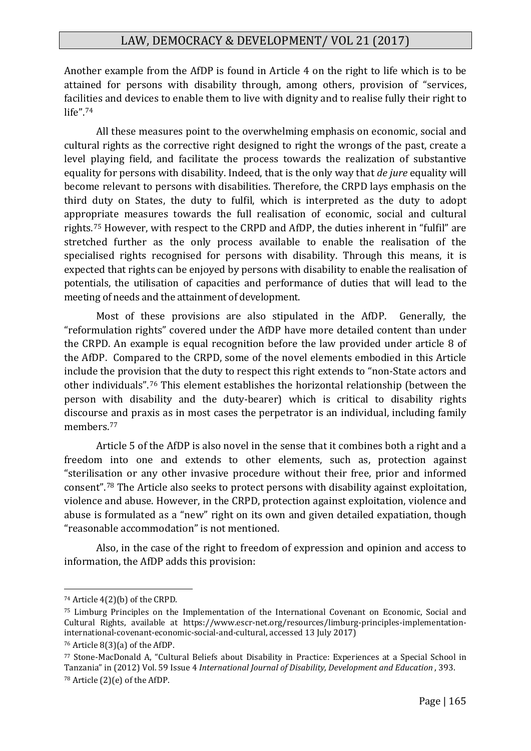Another example from the AfDP is found in Article 4 on the right to life which is to be attained for persons with disability through, among others, provision of "services, facilities and devices to enable them to live with dignity and to realise fully their right to life".[74](#page-12-0)

All these measures point to the overwhelming emphasis on economic, social and cultural rights as the corrective right designed to right the wrongs of the past, create a level playing field, and facilitate the process towards the realization of substantive equality for persons with disability. Indeed, that is the only way that *de jure* equality will become relevant to persons with disabilities. Therefore, the CRPD lays emphasis on the third duty on States, the duty to fulfil, which is interpreted as the duty to adopt appropriate measures towards the full realisation of economic, social and cultural rights.[75](#page-12-1) However, with respect to the CRPD and AfDP, the duties inherent in "fulfil" are stretched further as the only process available to enable the realisation of the specialised rights recognised for persons with disability. Through this means, it is expected that rights can be enjoyed by persons with disability to enable the realisation of potentials, the utilisation of capacities and performance of duties that will lead to the meeting of needs and the attainment of development.

Most of these provisions are also stipulated in the AfDP. Generally, the "reformulation rights" covered under the AfDP have more detailed content than under the CRPD. An example is equal recognition before the law provided under article 8 of the AfDP. Compared to the CRPD, some of the novel elements embodied in this Article include the provision that the duty to respect this right extends to "non-State actors and other individuals".[76](#page-12-2) This element establishes the horizontal relationship (between the person with disability and the duty-bearer) which is critical to disability rights discourse and praxis as in most cases the perpetrator is an individual, including family members<sup>[77](#page-12-3)</sup>

Article 5 of the AfDP is also novel in the sense that it combines both a right and a freedom into one and extends to other elements, such as, protection against "sterilisation or any other invasive procedure without their free, prior and informed consent".[78](#page-12-4) The Article also seeks to protect persons with disability against exploitation, violence and abuse. However, in the CRPD, protection against exploitation, violence and abuse is formulated as a "new" right on its own and given detailed expatiation, though "reasonable accommodation" is not mentioned.

Also, in the case of the right to freedom of expression and opinion and access to information, the AfDP adds this provision:

<span id="page-12-0"></span><sup>74</sup> Article 4(2)(b) of the CRPD. -

<span id="page-12-1"></span><sup>75</sup> Limburg Principles on the Implementation of the International Covenant on Economic, Social and Cultural Rights, available at https://www.escr-net.org/resources/limburg-principles-implementationinternational-covenant-economic-social-and-cultural, accessed 13 July 2017)

<span id="page-12-2"></span><sup>76</sup> Article 8(3)(a) of the AfDP.

<span id="page-12-4"></span><span id="page-12-3"></span><sup>77</sup> Stone-MacDonald A, "Cultural Beliefs about Disability in Practice: Experiences at a Special School in Tanzania" in (2012) Vol. 59 Issue 4 *International [Journal of Disability, Development and Education](http://www.tandfonline.com/toc/cijd20/59/4)* , 393. <sup>78</sup> Article (2)(e) of the AfDP.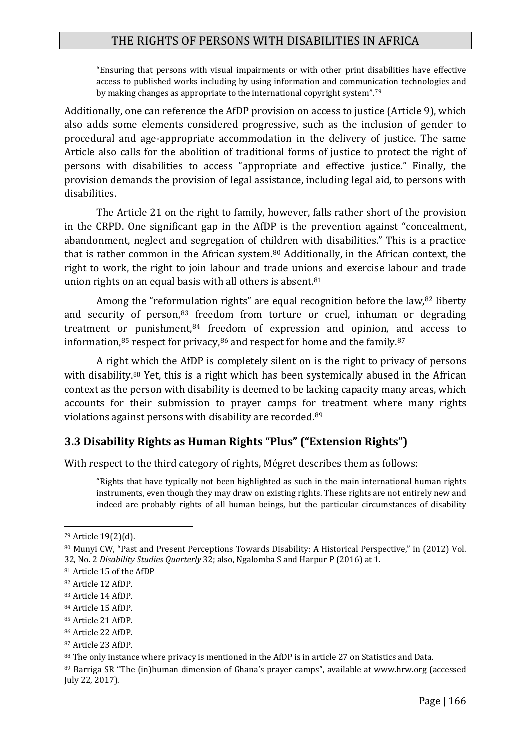"Ensuring that persons with visual impairments or with other print disabilities have effective access to published works including by using information and communication technologies and by making changes as appropriate to the international copyright system".[79](#page-13-0)

Additionally, one can reference the AfDP provision on access to justice (Article 9), which also adds some elements considered progressive, such as the inclusion of gender to procedural and age-appropriate accommodation in the delivery of justice. The same Article also calls for the abolition of traditional forms of justice to protect the right of persons with disabilities to access "appropriate and effective justice." Finally, the provision demands the provision of legal assistance, including legal aid, to persons with disabilities.

The Article 21 on the right to family, however, falls rather short of the provision in the CRPD. One significant gap in the AfDP is the prevention against "concealment, abandonment, neglect and segregation of children with disabilities." This is a practice that is rather common in the African system.[80](#page-13-1) Additionally, in the African context, the right to work, the right to join labour and trade unions and exercise labour and trade union rights on an equal basis with all others is absent.<sup>[81](#page-13-2)</sup>

Among the "refor[mu](#page-13-4)lation rights" are equal recognition before the law, [82](#page-13-3) liberty and security of person,<sup>83</sup> freedom from torture or cruel, inhuman or degrading treatment or punishment,<sup>[84](#page-13-5)</sup> freedom of expression and opinion, and access to information, $85$  respect for privacy, $86$  and respect for home and the family. $87$ 

A right [wh](#page-13-9)ich the AfDP is completely silent on is the right to privacy of persons with disability.<sup>88</sup> Yet, this is a right which has been systemically abused in the African context as the person with disability is deemed to be lacking capacity many areas, which accounts for their submission to prayer camps for treatment where many rights violations against persons with disability are recorded.[89](#page-13-10)

# **3.3 Disability Rights as Human Rights "Plus" ("Extension Rights")**

With respect to the third category of rights, Mégret describes them as follows:

"Rights that have typically not been highlighted as such in the main international human rights instruments, even though they may draw on existing rights. These rights are not entirely new and indeed are probably rights of all human beings, but the particular circumstances of disability

<span id="page-13-0"></span><sup>79</sup> Article 19(2)(d).

<span id="page-13-1"></span><sup>80</sup> Munyi CW, "Past and Present Perceptions Towards Disability: A Historical Perspective," in (2012) Vol. 32, No. 2 *Disability Studies Quarterly* 32; also, Ngalomba S and Harpur P (2016) at [1.](#page-0-2) 

<span id="page-13-2"></span><sup>81</sup> Article 15 of the AfDP

<span id="page-13-3"></span><sup>82</sup> Article 12 AfDP.

<span id="page-13-4"></span><sup>83</sup> Article 14 AfDP.

<span id="page-13-5"></span><sup>84</sup> Article 15 AfDP.

<span id="page-13-6"></span><sup>85</sup> Article 21 AfDP.

<span id="page-13-7"></span><sup>86</sup> Article 22 AfDP.

<span id="page-13-8"></span><sup>87</sup> Article 23 AfDP.

<span id="page-13-9"></span><sup>88</sup> The only instance where privacy is mentioned in the AfDP is in article 27 on Statistics and Data.

<span id="page-13-10"></span><sup>89</sup> Barriga SR "The (in)human dimension of Ghana's prayer camps", available at www.hrw.org (accessed July 22, 2017).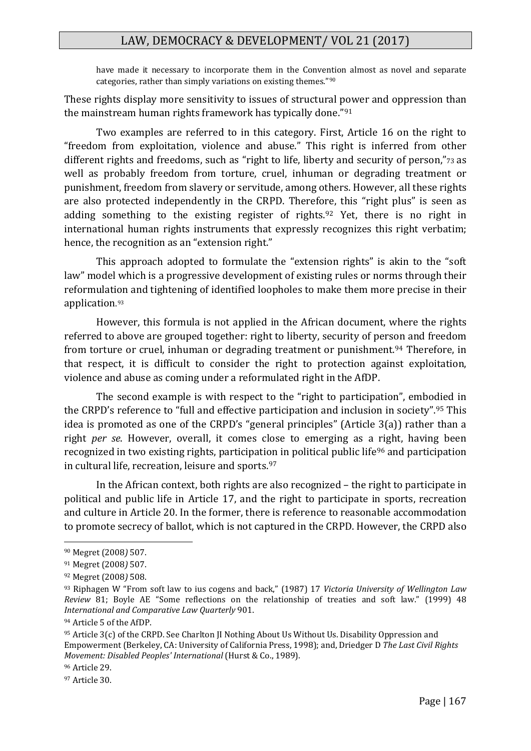have made it necessary to incorporate them in the Convention almost as novel and separate categories, rather than simply variations on existing themes."[90](#page-14-0)

These rights display more sensitivity to issues of structural power and oppression than the mainstream human rights framework has typically done."[91](#page-14-1)

Two examples are referred to in this category. First, Article 16 on the right to "freedom from exploitation, violence and abuse." This right is inferred from other different rights and freedoms, such as "right to life, liberty and security of person,"73 as well as probably freedom from torture, cruel, inhuman or degrading treatment or punishment, freedom from slavery or servitude, among others. However, all these rights are also protected independently in the CRPD. Therefore, this "right plus" is seen as adding something to the existing register of rights.<sup>[92](#page-14-2)</sup> Yet, there is no right in international human rights instruments that expressly recognizes this right verbatim; hence, the recognition as an "extension right."

This approach adopted to formulate the "extension rights" is akin to the "soft law" model which is a progressive development of existing rules or norms through their reformulati[on](#page-14-3) and tightening of identified loopholes to make them more precise in their application. 93

However, this formula is not applied in the African document, where the rights referred to above are grouped together: right to liberty, security of person and freedom from torture or cruel, inhuman or degrading treatment or punishment.<sup>[94](#page-14-4)</sup> Therefore, in that respect, it is difficult to consider the right to protection against exploitation, violence and abuse as coming under a reformulated right in the AfDP.

The second example is with respect to the "right to participation", embodied in the CRPD's reference to "full and effective participation and inclusion in society".[95](#page-14-5) This idea is promoted as one of the CRPD's "general principles" (Article 3(a)) rather than a right *per se*. However, overall, it comes close to emerging as a right, having been recognized in two existing rights, participati[on](#page-14-7) in political public life<sup>[96](#page-14-6)</sup> and participation in cultural life, recreation, leisure and sports.<sup>97</sup>

In the African context, both rights are also recognized – the right to participate in political and public life in Article 17, and the right to participate in sports, recreation and culture in Article 20. In the former, there is reference to reasonable accommodation to promote secrecy of ballot, which is not captured in the CRPD. However, the CRPD also

<span id="page-14-0"></span><sup>90</sup> Megret (2008*)* 507.

<span id="page-14-1"></span><sup>91</sup> Megret (2008*)* 507.

<span id="page-14-2"></span><sup>92</sup> Megret (2008*)* 508.

<span id="page-14-3"></span><sup>93</sup> Riphagen W "From soft law to ius cogens and back," (1987) 17 *Victoria University of Wellington Law Review* 81; Boyle AE "Some reflections on the relationship of treaties and soft law." (1999) 48 *International and Comparative Law Quarterly* 901.

<span id="page-14-4"></span><sup>94</sup> Article 5 of the AfDP.

<span id="page-14-5"></span><sup>&</sup>lt;sup>95</sup> Article 3(c) of the CRPD. See Charlton II Nothing About Us Without Us. Disability Oppression and Empowerment (Berkeley, CA: University of California Press, 1998); and, Driedger D *The Last Civil Rights Movement: Disabled Peoples' International* (Hurst & Co., 1989).

<span id="page-14-6"></span><sup>96</sup> Article 29.

<span id="page-14-7"></span><sup>97</sup> Article 30.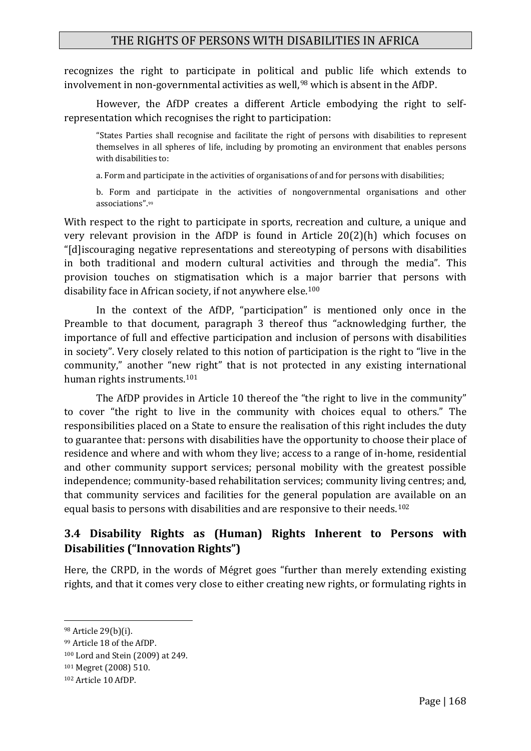recognizes the right to participate in political and public life which extends to involvement in non-governmental activities as well,<sup>[98](#page-15-0)</sup> which is absent in the AfDP.

However, the AfDP creates a different Article embodying the right to selfrepresentation which recognises the right to participation:

"States Parties shall recognise and facilitate the right of persons with disabilities to represent themselves in all spheres of life, including by promoting an environment that enables persons with disabilities to:

a. Form and participate in the activities of organisations of and for persons with disabilities;

b. Form and participate in the activities of nongovernmental organisations and other associations"[.99](#page-15-1)

With respect to the right to participate in sports, recreation and culture, a unique and very relevant provision in the AfDP is found in Article 20(2)(h) which focuses on "[d]iscouraging negative representations and stereotyping of persons with disabilities in both traditional and modern cultural activities and through the media". This provision touches on stigmatisation which is a major barrier that persons with disability face in African society, if not anywhere else.[100](#page-15-2)

In the context of the AfDP, "participation" is mentioned only once in the Preamble to that document, paragraph 3 thereof thus "acknowledging further, the importance of full and effective participation and inclusion of persons with disabilities in society". Very closely related to this notion of participation is the right to "live in the community," another "new right" that is not protected in any existing international human rights instruments.[101](#page-15-3)

The AfDP provides in Article 10 thereof the "the right to live in the community" to cover "the right to live in the community with choices equal to others." The responsibilities placed on a State to ensure the realisation of this right includes the duty to guarantee that: persons with disabilities have the opportunity to choose their place of residence and where and with whom they live; access to a range of in-home, residential and other community support services; personal mobility with the greatest possible independence; community-based rehabilitation services; community living centres; and, that community services and facilities for the general population are available on an equal basis to persons with disabilities and are responsive to their needs.[102](#page-15-4)

# **3.4 Disability Rights as (Human) Rights Inherent to Persons with Disabilities ("Innovation Rights")**

Here, the CRPD, in the words of Mégret goes "further than merely extending existing rights, and that it comes very close to either creating new rights, or formulating rights in

<span id="page-15-0"></span><sup>98</sup> Article 29(b)(i).

<span id="page-15-1"></span><sup>99</sup> Article 18 of the AfDP.

<span id="page-15-2"></span><sup>100</sup> Lord and Stein (2009) at 249.

<span id="page-15-3"></span><sup>101</sup> Megret (2008) 510.

<span id="page-15-4"></span><sup>102</sup> Article 10 AfDP.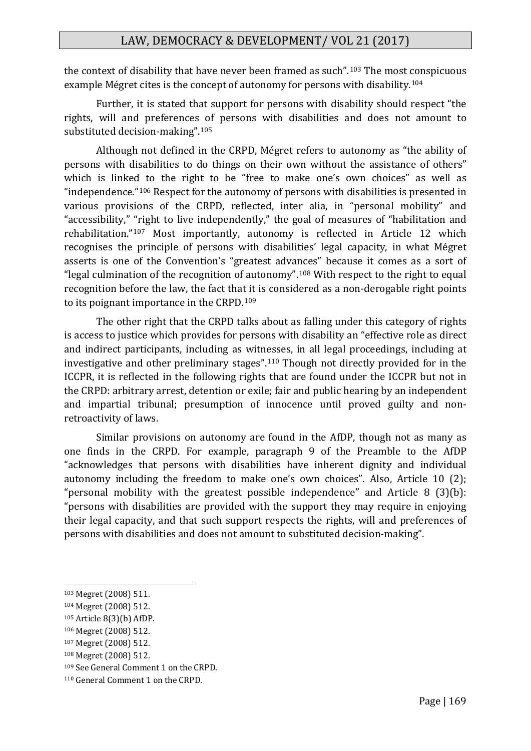the context of disability that have never been framed as such".[103](#page-16-0) The most conspicuous example Mégret cites is the concept of autonomy for persons with disability.[104](#page-16-1)

Further, it is stated that support for persons with disability should respect "the rights, will and preferences of persons with disabilities and does not amount to substituted decision-making".[105](#page-16-2)

Although not defined in the CRPD, Mégret refers to autonomy as "the ability of persons with disabilities to do things on their own without the assistance of others" which is linked to the right to be "free to make one's own choices" as well as "independence."[106](#page-16-3) Respect for the autonomy of persons with disabilities is presented in various provisions of the CRPD, reflected, inter alia, in "personal mobility" and "accessibility," "right to live independently," the goal of measures of "habilitation and rehabilitation."[107](#page-16-4) Most importantly, autonomy is reflected in Article 12 which recognises the principle of persons with disabilities' legal capacity, in what Mégret asserts is one of the Convention's "greatest advances" because it comes as a sort of "legal culmination of the recognition of autonomy".[108](#page-16-5) With respect to the right to equal recognition before the law, the fact that it is considered as a non-derogable right points to its poignant importance in the CRPD.[109](#page-16-6)

The other right that the CRPD talks about as falling under this category of rights is access to justice which provides for persons with disability an "effective role as direct and indirect participants, including as witnesses, in all legal proceedings, including at investigative and other preliminary stages".[110](#page-16-7) Though not directly provided for in the ICCPR, it is reflected in the following rights that are found under the ICCPR but not in the CRPD: arbitrary arrest, detention or exile; fair and public hearing by an independent and impartial tribunal; presumption of innocence until proved guilty and nonretroactivity of laws.

Similar provisions on autonomy are found in the AfDP, though not as many as one finds in the CRPD. For example, paragraph 9 of the Preamble to the AfDP "acknowledges that persons with disabilities have inherent dignity and individual autonomy including the freedom to make one's own choices". Also, Article 10 (2); "personal mobility with the greatest possible independence" and Article 8 (3)(b): "persons with disabilities are provided with the support they may require in enjoying their legal capacity, and that such support respects the rights, will and preferences of persons with disabilities and does not amount to substituted decision-making".

<span id="page-16-0"></span><sup>103</sup> Megret (2008) 511.

<span id="page-16-1"></span><sup>104</sup> Megret (2008) 512.

<span id="page-16-2"></span><sup>105</sup> Article 8(3)(b) AfDP.

<span id="page-16-3"></span><sup>106</sup> Megret (2008) 512.

<span id="page-16-4"></span><sup>107</sup> Megret (2008) 512.

<span id="page-16-5"></span><sup>108</sup> Megret (2008) 512.

<span id="page-16-6"></span><sup>109</sup> See General Comment 1 on the CRPD.

<span id="page-16-7"></span><sup>110</sup> General Comment 1 on the CRPD.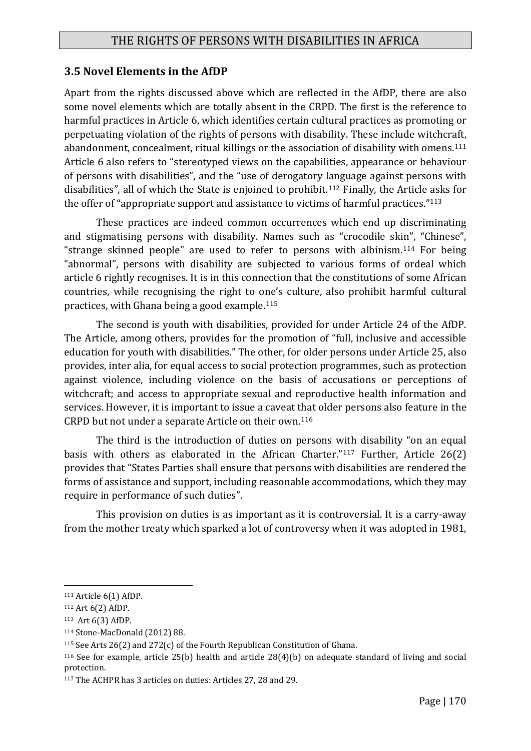#### **3.5 Novel Elements in the AfDP**

Apart from the rights discussed above which are reflected in the AfDP, there are also some novel elements which are totally absent in the CRPD. The first is the reference to harmful practices in Article 6, which identifies certain cultural practices as promoting or perpetuating violation of the rights of persons with disability. These include witchcraft, abandonment, concealment, ritual killings or the association of disability with omens.[111](#page-17-0) Article 6 also refers to "stereotyped views on the capabilities, appearance or behaviour of persons with disabilities", and the "use of derogatory language against persons with disabilities", all of which the State is enjoined to prohibit.[112](#page-17-1) Finally, the Article asks for the offer of "appropriate support and assistance to victims of harmful practices."[113](#page-17-2)

These practices are indeed common occurrences which end up discriminating and stigmatising persons with disability. Names such as "crocodile skin", "Chinese", "strange skinned people" are used to refer to persons with albinism.[114](#page-17-3) For being "abnormal", persons with disability are subjected to various forms of ordeal which article 6 rightly recognises. It is in this connection that the constitutions of some African countries, while recognising the right to one's culture, also prohibit harmful cultural practices, with Ghana being a good example.[115](#page-17-4)

The second is youth with disabilities, provided for under Article 24 of the AfDP. The Article, among others, provides for the promotion of "full, inclusive and accessible education for youth with disabilities." The other, for older persons under Article 25, also provides, inter alia, for equal access to social protection programmes, such as protection against violence, including violence on the basis of accusations or perceptions of witchcraft; and access to appropriate sexual and reproductive health information and services. However, it is important to issue a caveat that older persons also feature in the CRPD but not under a separate Article on their own.[116](#page-17-5)

The third is the introduction of duties on persons with disability "on an equal basis with others as elaborated in the African Charter."[117](#page-17-6) Further, Article 26(2) provides that "States Parties shall ensure that persons with disabilities are rendered the forms of assistance and support, including reasonable accommodations, which they may require in performance of such duties".

This provision on duties is as important as it is controversial. It is a carry-away from the mother treaty which sparked a lot of controversy when it was adopted in 1981,

<span id="page-17-0"></span><sup>111</sup> Article 6(1) AfDP.

<span id="page-17-1"></span><sup>112</sup> Art 6(2) AfDP.

<span id="page-17-2"></span><sup>113</sup> Art 6(3) AfDP.

<span id="page-17-3"></span><sup>114</sup> Stone-MacDonald (2012) 88.

<span id="page-17-4"></span><sup>&</sup>lt;sup>115</sup> See Arts 26(2) and 272(c) of the Fourth Republican Constitution of Ghana.

<span id="page-17-5"></span><sup>116</sup> See for example, article 25(b) health and article 28(4)(b) on adequate standard of living and social protection.

<span id="page-17-6"></span><sup>117</sup> The ACHPR has 3 articles on duties: Articles 27, 28 and 29.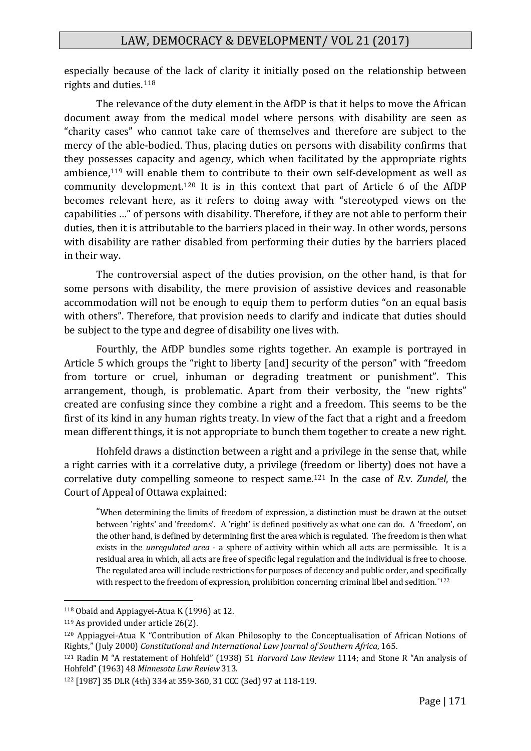especially because of the lack of clarity it initially posed on the relationship between rights and duties.[118](#page-18-0)

The relevance of the duty element in the AfDP is that it helps to move the African document away from the medical model where persons with disability are seen as "charity cases" who cannot take care of themselves and therefore are subject to the mercy of the able-bodied. Thus, placing duties on persons with disability confirms that they possesses capacity and agency, which when facilitated by the appropriate rights ambience,[119](#page-18-1) will enable them to contribute to their own self-development as well as community development.[120](#page-18-2) It is in this context that part of Article 6 of the AfDP becomes relevant here, as it refers to doing away with "stereotyped views on the capabilities …" of persons with disability. Therefore, if they are not able to perform their duties, then it is attributable to the barriers placed in their way. In other words, persons with disability are rather disabled from performing their duties by the barriers placed in their way.

The controversial aspect of the duties provision, on the other hand, is that for some persons with disability, the mere provision of assistive devices and reasonable accommodation will not be enough to equip them to perform duties "on an equal basis with others". Therefore, that provision needs to clarify and indicate that duties should be subject to the type and degree of disability one lives with.

Fourthly, the AfDP bundles some rights together. An example is portrayed in Article 5 which groups the "right to liberty [and] security of the person" with "freedom from torture or cruel, inhuman or degrading treatment or punishment". This arrangement, though, is problematic. Apart from their verbosity, the "new rights" created are confusing since they combine a right and a freedom. This seems to be the first of its kind in any human rights treaty. In view of the fact that a right and a freedom mean different things, it is not appropriate to bunch them together to create a new right.

Hohfeld draws a distinction between a right and a privilege in the sense that, while a right carries with it a correlative duty, a privilege (freedom or liberty) does not have a correlative duty compelling someone to respect same.[121](#page-18-3) In the case of *R.*v. *Zundel*, the Court of Appeal of Ottawa explained:

"When determining the limits of freedom of expression, a distinction must be drawn at the outset between 'rights' and 'freedoms'. A 'right' is defined positively as what one can do. A 'freedom', on the other hand, is defined by determining first the area which is regulated. The freedom is then what exists in the *unregulated area* - a sphere of activity within which all acts are permissible. It is a residual area in which, all acts are free of specific legal regulation and the individual is free to choose. The regulated area will include restrictions for purposes of decency and public order, and specifically with respect to the freedom of expression, prohibition concerning criminal libel and sedition.<sup>"[122](#page-18-4)</sup>

<span id="page-18-0"></span><sup>118</sup> Obaid and Appiagyei-Atua K (1996) at 12.

<span id="page-18-1"></span><sup>119</sup> As provided under article 26(2).

<span id="page-18-2"></span><sup>120</sup> Appiagyei-Atua K "Contribution of Akan Philosophy to the Conceptualisation of African Notions of Rights," (July 2000) *Constitutional and International Law Journal of Southern Africa*, 165.

<span id="page-18-3"></span><sup>121</sup> Radin M "A restatement of Hohfeld" (1938) 51 *Harvard Law Review* 1114; and Stone R "An analysis of Hohfeld" (1963) 48 *Minnesota Law Review* 313.

<span id="page-18-4"></span><sup>122</sup> [1987] 35 DLR (4th) 334 at 359-360, 31 CCC (3ed) 97 at 118-119.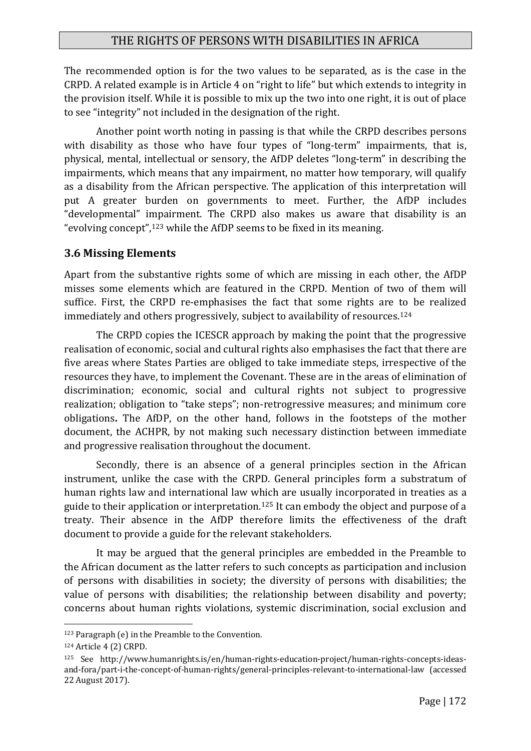The recommended option is for the two values to be separated, as is the case in the CRPD. A related example is in Article 4 on "right to life" but which extends to integrity in the provision itself. While it is possible to mix up the two into one right, it is out of place to see "integrity" not included in the designation of the right.

Another point worth noting in passing is that while the CRPD describes persons with disability as those who have four types of "long-term" impairments, that is, physical, mental, intellectual or sensory, the AfDP deletes "long-term" in describing the impairments, which means that any impairment, no matter how temporary, will qualify as a disability from the African perspective. The application of this interpretation will put A greater burden on governments to meet. Further, the AfDP includes "developmental" impairment. The CRPD also makes us aware that disability is an "evolving concept",[123](#page-19-0) while the AfDP seems to be fixed in its meaning.

#### **3.6 Missing Elements**

Apart from the substantive rights some of which are missing in each other, the AfDP misses some elements which are featured in the CRPD. Mention of two of them will suffice. First, the CRPD re-emphasises the fact that some rights are to be realized immediately and others progressively, subject to availability of resources.[124](#page-19-1)

The CRPD copies the ICESCR approach by making the point that the progressive realisation of economic, social and cultural rights also emphasises the fact that there are five areas where States Parties are obliged to take immediate steps, irrespective of the resources they have, to implement the Covenant. These are in the areas of elimination of discrimination; economic, social and cultural rights not subject to progressive realization; obligation to "take steps"; non-retrogressive measures; and minimum core obligations**.** The AfDP, on the other hand, follows in the footsteps of the mother document, the ACHPR, by not making such necessary distinction between immediate and progressive realisation throughout the document.

Secondly, there is an absence of a general principles section in the African instrument, unlike the case with the CRPD. General principles form a substratum of human rights law and international law which are usually incorporated in treaties as a guide to their application or interpretation.[125](#page-19-2) It can embody the object and purpose of a treaty. Their absence in the AfDP therefore limits the effectiveness of the draft document to provide a guide for the relevant stakeholders.

It may be argued that the general principles are embedded in the Preamble to the African document as the latter refers to such concepts as participation and inclusion of persons with disabilities in society; the diversity of persons with disabilities; the value of persons with disabilities; the relationship between disability and poverty; concerns about human rights violations, systemic discrimination, social exclusion and

<span id="page-19-0"></span><sup>123</sup> Paragraph (e) in the Preamble to the Convention.

<span id="page-19-1"></span><sup>124</sup> Article 4 (2) CRPD.

<span id="page-19-2"></span><sup>125</sup> See http://www.humanrights.is/en/human-rights-education-project/human-rights-concepts-ideasand-fora/part-i-the-concept-of-human-rights/general-principles-relevant-to-international-law (accessed 22 August 2017).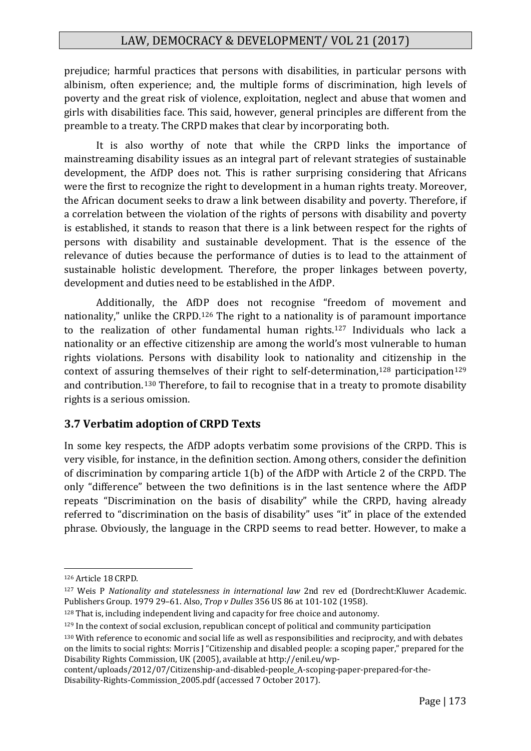prejudice; harmful practices that persons with disabilities, in particular persons with albinism, often experience; and, the multiple forms of discrimination, high levels of poverty and the great risk of violence, exploitation, neglect and abuse that women and girls with disabilities face. This said, however, general principles are different from the preamble to a treaty. The CRPD makes that clear by incorporating both.

It is also worthy of note that while the CRPD links the importance of mainstreaming disability issues as an integral part of relevant strategies of sustainable development, the AfDP does not. This is rather surprising considering that Africans were the first to recognize the right to development in a human rights treaty. Moreover, the African document seeks to draw a link between disability and poverty. Therefore, if a correlation between the violation of the rights of persons with disability and poverty is established, it stands to reason that there is a link between respect for the rights of persons with disability and sustainable development. That is the essence of the relevance of duties because the performance of duties is to lead to the attainment of sustainable holistic development. Therefore, the proper linkages between poverty, development and duties need to be established in the AfDP.

Additionally, the AfDP does not recognise "freedom of movement and nationality," unlike the CRPD.<sup>[126](#page-20-0)</sup> The right to a nationality is of paramount importance to the realization of other fundamental human rights.[127](#page-20-1) Individuals who lack a nationality or an effective citizenship are among the world's most vulnerable to human rights violations. Persons with disability look to nationality and citizenship in the context of assuri[ng](#page-20-4) themselves of their right to self-determination,<sup>[128](#page-20-2)</sup> participation<sup>[129](#page-20-3)</sup> and contribution.130 Therefore, to fail to recognise that in a treaty to promote disability rights is a serious omission.

#### **3.7 Verbatim adoption of CRPD Texts**

In some key respects, the AfDP adopts verbatim some provisions of the CRPD. This is very visible, for instance, in the definition section. Among others, consider the definition of discrimination by comparing article 1(b) of the AfDP with Article 2 of the CRPD. The only "difference" between the two definitions is in the last sentence where the AfDP repeats "Discrimination on the basis of disability" while the CRPD, having already referred to "discrimination on the basis of disability" uses "it" in place of the extended phrase. Obviously, the language in the CRPD seems to read better. However, to make a

<span id="page-20-0"></span><sup>126</sup> Article 18 CRPD.

<span id="page-20-1"></span><sup>127</sup> Weis P *Nationality and statelessness in international law* 2nd rev ed (Dordrecht:Kluwer Academic. Publishers Group. 1979 29–61. Also, *Trop v Dulles* 356 US 86 at 101-102 (1958).

<span id="page-20-2"></span><sup>128</sup> That is, including independent living and capacity for free choice and autonomy.

<span id="page-20-3"></span> $129$  In the context of social exclusion, republican concept of political and community participation

<span id="page-20-4"></span><sup>130</sup> With reference to economic and social life as well as responsibilities and reciprocity, and with debates on the limits to social rights: Morris J "Citizenship and disabled people: a scoping paper," prepared for the Disability Rights Commission, UK (2005), available at http://enil.eu/wp-

content/uploads/2012/07/Citizenship-and-disabled-people\_A-scoping-paper-prepared-for-the-Disability-Rights-Commission\_2005.pdf (accessed 7 October 2017).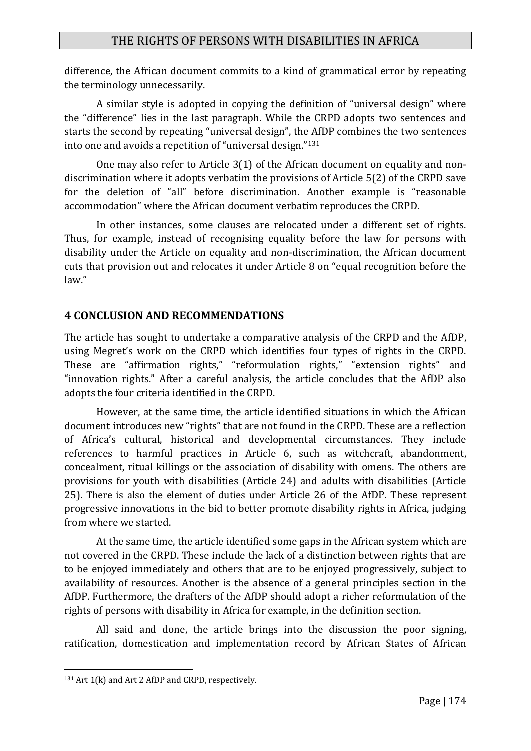difference, the African document commits to a kind of grammatical error by repeating the terminology unnecessarily.

A similar style is adopted in copying the definition of "universal design" where the "difference" lies in the last paragraph. While the CRPD adopts two sentences and starts the second by repeating "universal design", the AfDP combines the two sentences into one and avoids a repetition of "universal design."[131](#page-21-0)

One may also refer to Article 3(1) of the African document on equality and nondiscrimination where it adopts verbatim the provisions of Article 5(2) of the CRPD save for the deletion of "all" before discrimination. Another example is "reasonable accommodation" where the African document verbatim reproduces the CRPD.

In other instances, some clauses are relocated under a different set of rights. Thus, for example, instead of recognising equality before the law for persons with disability under the Article on equality and non-discrimination, the African document cuts that provision out and relocates it under Article 8 on "equal recognition before the law."

#### **4 CONCLUSION AND RECOMMENDATIONS**

The article has sought to undertake a comparative analysis of the CRPD and the AfDP, using Megret's work on the CRPD which identifies four types of rights in the CRPD. These are "affirmation rights," "reformulation rights," "extension rights" and "innovation rights." After a careful analysis, the article concludes that the AfDP also adopts the four criteria identified in the CRPD.

However, at the same time, the article identified situations in which the African document introduces new "rights" that are not found in the CRPD. These are a reflection of Africa's cultural, historical and developmental circumstances. They include references to harmful practices in Article 6, such as witchcraft, abandonment, concealment, ritual killings or the association of disability with omens. The others are provisions for youth with disabilities (Article 24) and adults with disabilities (Article 25). There is also the element of duties under Article 26 of the AfDP. These represent progressive innovations in the bid to better promote disability rights in Africa, judging from where we started.

At the same time, the article identified some gaps in the African system which are not covered in the CRPD. These include the lack of a distinction between rights that are to be enjoyed immediately and others that are to be enjoyed progressively, subject to availability of resources. Another is the absence of a general principles section in the AfDP. Furthermore, the drafters of the AfDP should adopt a richer reformulation of the rights of persons with disability in Africa for example, in the definition section.

All said and done, the article brings into the discussion the poor signing, ratification, domestication and implementation record by African States of African

<span id="page-21-0"></span><sup>131</sup> Art 1(k) and Art 2 AfDP and CRPD, respectively. -